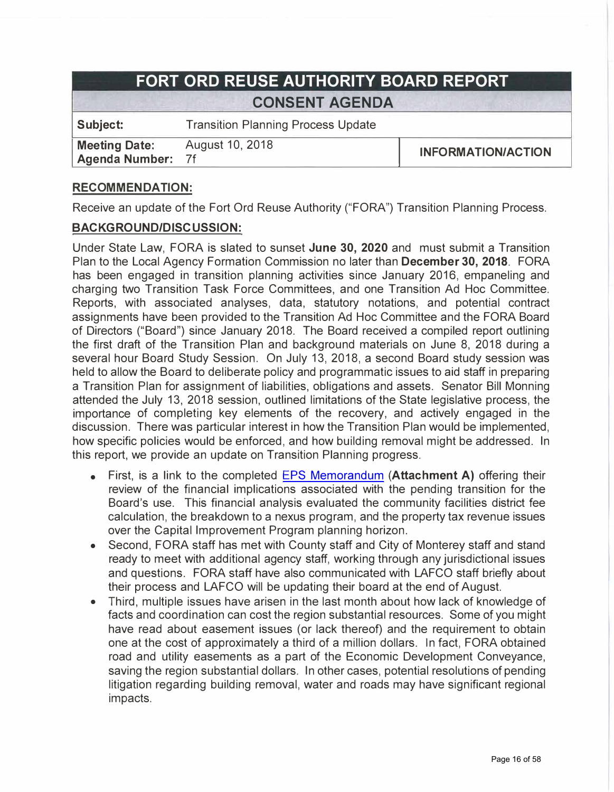# **FORT ORD REUSE AUTHORITY BOARD REPORT CONSENT AGENDA**

**Subject:** Transition Planning Process Update

**Meeting Date:** August 10, 2018<br>**Agenda Number:** 7f **Agenda Number:** 

**I INFORMATION/ACTION** 

# **RECOMMENDATION:**

Receive an update of the Fort Ord Reuse Authority ("FORA") Transition Planning Process.

#### **BACKGROUND/DISCUSSION:**

Under State Law, FORA is slated to sunset **June 30, 2020** and must submit a Transition Plan to the Local Agency Formation Commission no later than **December 30, 2018.** FORA has been engaged in transition planning activities since January 2016, empaneling and charging two Transition Task Force Committees, and one Transition Ad Hoc Committee. Reports, with associated analyses, data, statutory notations, and potential contract assignments have been provided to the Transition Ad Hoc Committee and the FORA Board of Directors ("Board") since January 2018. The Board received a compiled report outlining the first draft of the Transition Plan and background materials on June 8, 2018 during a several hour Board Study Session. On July 13, 2018, a second Board study session was held to allow the Board to deliberate policy and programmatic issues to aid staff in preparing a Transition Plan for assignment of liabilities, obligations and assets. Senator Bill Monning attended the July 13, 2018 session, outlined limitations of the State legislative process, the importance of completing key elements of the recovery, and actively engaged in the discussion. There was particular interest in how the Transition Plan would be implemented, how specific policies would be enforced, and how building removal might be addressed. In this report, we provide an update on Transition Planning progress.

- First, is a link to the completed [EPS Memorandum](http://b77.402.myftpupload.com/wp-content/uploads/053018_EPS_Transition_Memorandum.pdf) **(Attachment A)** offering their review of the financial implications associated with the pending transition for the Board's use. This financial analysis evaluated the community facilities district fee calculation, the breakdown to a nexus program, and the property tax revenue issues over the Capital Improvement Program planning horizon.
- Second, FORA staff has met with County staff and City of Monterey staff and stand ready to meet with additional agency staff, working through any jurisdictional issues and questions. FORA staff have also communicated with LAFCO staff briefly about their process and LAFCO will be updating their board at the end of August.
- Third, multiple issues have arisen in the last month about how lack of knowledge of facts and coordination can cost the region substantial resources. Some of you might have read about easement issues ( or lack thereof) and the requirement to obtain one at the cost of approximately a third of a million dollars. In fact, FORA obtained road and utility easements as a part of the Economic Development Conveyance, saving the region substantial dollars. In other cases, potential resolutions of pending litigation regarding building removal, water and roads may have significant regional impacts.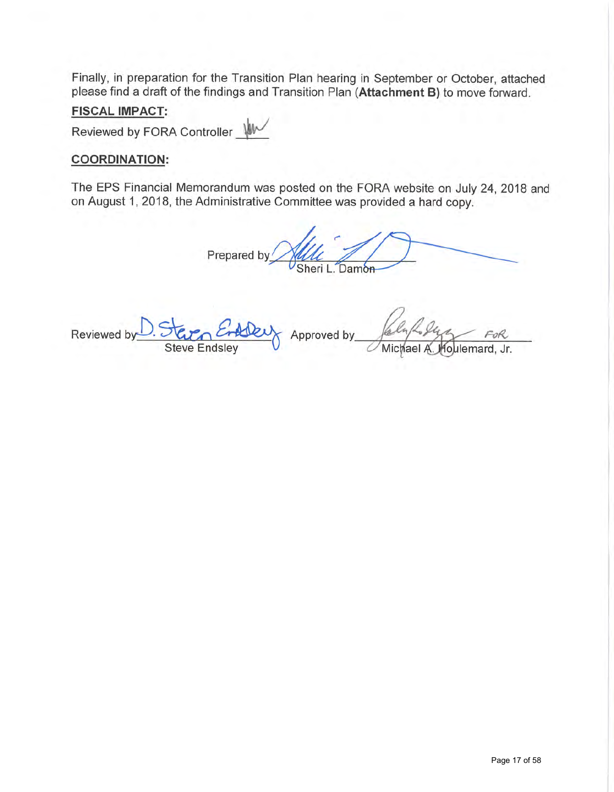Finally, in preparation for the Transition Plan hearing in September or October, attached please find a draft of the findings and Transition Plan **(Attachment B)** to move forward.

#### **FISCAL IMPACT:**

Reviewed by FORA Controller

### **COORDINATION:**

The EPS Financial Memorandum was posted on the FORA website on July 24, 2018 and on August 1, 2018, the Administrative Committee was provided a hard copy.

Prepared by Alle Damon

Reviewed by Steve Endsley Approved by Jaly July FOR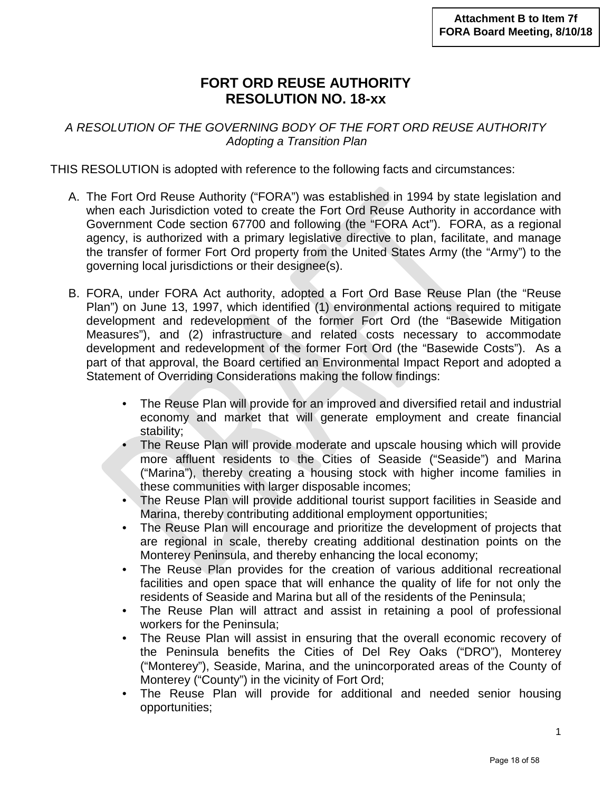# **FORT ORD REUSE AUTHORITY RESOLUTION NO. 18-xx**

*A RESOLUTION OF THE GOVERNING BODY OF THE FORT ORD REUSE AUTHORITY Adopting a Transition Plan*

THIS RESOLUTION is adopted with reference to the following facts and circumstances:

- A. The Fort Ord Reuse Authority ("FORA") was established in 1994 by state legislation and when each Jurisdiction voted to create the Fort Ord Reuse Authority in accordance with Government Code section 67700 and following (the "FORA Act"). FORA, as a regional agency, is authorized with a primary legislative directive to plan, facilitate, and manage the transfer of former Fort Ord property from the United States Army (the "Army") to the governing local jurisdictions or their designee(s).
- B. FORA, under FORA Act authority, adopted a Fort Ord Base Reuse Plan (the "Reuse Plan") on June 13, 1997, which identified (1) environmental actions required to mitigate development and redevelopment of the former Fort Ord (the "Basewide Mitigation Measures"), and (2) infrastructure and related costs necessary to accommodate development and redevelopment of the former Fort Ord (the "Basewide Costs"). As a part of that approval, the Board certified an Environmental Impact Report and adopted a Statement of Overriding Considerations making the follow findings:
	- The Reuse Plan will provide for an improved and diversified retail and industrial economy and market that will generate employment and create financial stability;
	- The Reuse Plan will provide moderate and upscale housing which will provide more affluent residents to the Cities of Seaside ("Seaside") and Marina ("Marina"), thereby creating a housing stock with higher income families in these communities with larger disposable incomes;
	- The Reuse Plan will provide additional tourist support facilities in Seaside and Marina, thereby contributing additional employment opportunities;
	- The Reuse Plan will encourage and prioritize the development of projects that are regional in scale, thereby creating additional destination points on the Monterey Peninsula, and thereby enhancing the local economy;
	- The Reuse Plan provides for the creation of various additional recreational facilities and open space that will enhance the quality of life for not only the residents of Seaside and Marina but all of the residents of the Peninsula;
	- The Reuse Plan will attract and assist in retaining a pool of professional workers for the Peninsula;
	- The Reuse Plan will assist in ensuring that the overall economic recovery of the Peninsula benefits the Cities of Del Rey Oaks ("DRO"), Monterey ("Monterey"), Seaside, Marina, and the unincorporated areas of the County of Monterey ("County") in the vicinity of Fort Ord;
	- The Reuse Plan will provide for additional and needed senior housing opportunities;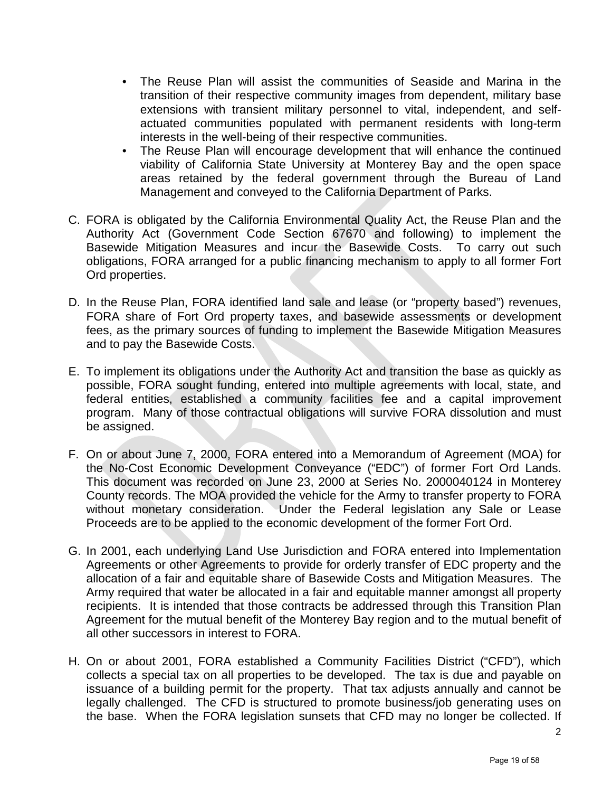- The Reuse Plan will assist the communities of Seaside and Marina in the transition of their respective community images from dependent, military base extensions with transient military personnel to vital, independent, and selfactuated communities populated with permanent residents with long-term interests in the well-being of their respective communities.
- The Reuse Plan will encourage development that will enhance the continued viability of California State University at Monterey Bay and the open space areas retained by the federal government through the Bureau of Land Management and conveyed to the California Department of Parks.
- C. FORA is obligated by the California Environmental Quality Act, the Reuse Plan and the Authority Act (Government Code Section 67670 and following) to implement the Basewide Mitigation Measures and incur the Basewide Costs. To carry out such obligations, FORA arranged for a public financing mechanism to apply to all former Fort Ord properties.
- D. In the Reuse Plan, FORA identified land sale and lease (or "property based") revenues, FORA share of Fort Ord property taxes, and basewide assessments or development fees, as the primary sources of funding to implement the Basewide Mitigation Measures and to pay the Basewide Costs.
- E. To implement its obligations under the Authority Act and transition the base as quickly as possible, FORA sought funding, entered into multiple agreements with local, state, and federal entities, established a community facilities fee and a capital improvement program. Many of those contractual obligations will survive FORA dissolution and must be assigned.
- F. On or about June 7, 2000, FORA entered into a Memorandum of Agreement (MOA) for the No-Cost Economic Development Conveyance ("EDC") of former Fort Ord Lands. This document was recorded on June 23, 2000 at Series No. 2000040124 in Monterey County records. The MOA provided the vehicle for the Army to transfer property to FORA without monetary consideration. Under the Federal legislation any Sale or Lease Proceeds are to be applied to the economic development of the former Fort Ord.
- G. In 2001, each underlying Land Use Jurisdiction and FORA entered into Implementation Agreements or other Agreements to provide for orderly transfer of EDC property and the allocation of a fair and equitable share of Basewide Costs and Mitigation Measures. The Army required that water be allocated in a fair and equitable manner amongst all property recipients. It is intended that those contracts be addressed through this Transition Plan Agreement for the mutual benefit of the Monterey Bay region and to the mutual benefit of all other successors in interest to FORA.
- H. On or about 2001, FORA established a Community Facilities District ("CFD"), which collects a special tax on all properties to be developed. The tax is due and payable on issuance of a building permit for the property. That tax adjusts annually and cannot be legally challenged. The CFD is structured to promote business/job generating uses on the base. When the FORA legislation sunsets that CFD may no longer be collected. If

2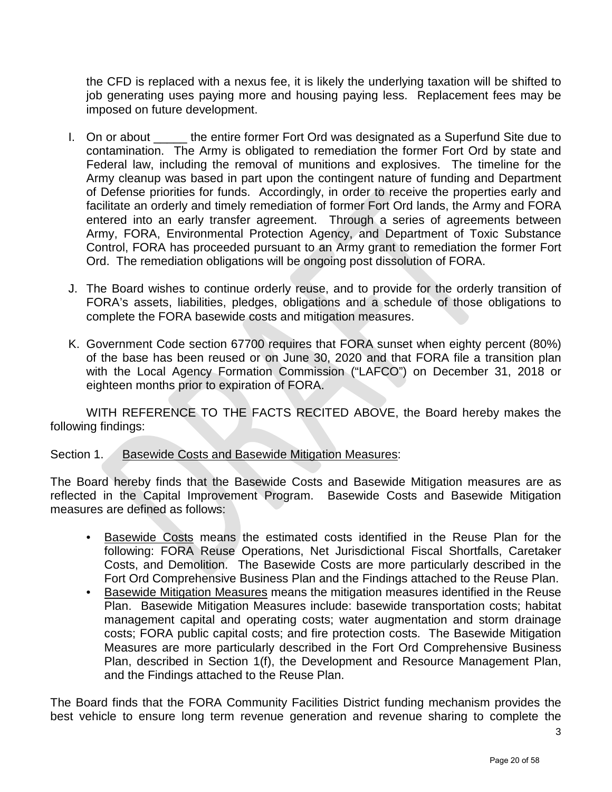the CFD is replaced with a nexus fee, it is likely the underlying taxation will be shifted to job generating uses paying more and housing paying less. Replacement fees may be imposed on future development.

- I. On or about \_\_\_\_\_ the entire former Fort Ord was designated as a Superfund Site due to contamination. The Army is obligated to remediation the former Fort Ord by state and Federal law, including the removal of munitions and explosives. The timeline for the Army cleanup was based in part upon the contingent nature of funding and Department of Defense priorities for funds. Accordingly, in order to receive the properties early and facilitate an orderly and timely remediation of former Fort Ord lands, the Army and FORA entered into an early transfer agreement. Through a series of agreements between Army, FORA, Environmental Protection Agency, and Department of Toxic Substance Control, FORA has proceeded pursuant to an Army grant to remediation the former Fort Ord. The remediation obligations will be ongoing post dissolution of FORA.
- J. The Board wishes to continue orderly reuse, and to provide for the orderly transition of FORA's assets, liabilities, pledges, obligations and a schedule of those obligations to complete the FORA basewide costs and mitigation measures.
- K. Government Code section 67700 requires that FORA sunset when eighty percent (80%) of the base has been reused or on June 30, 2020 and that FORA file a transition plan with the Local Agency Formation Commission ("LAFCO") on December 31, 2018 or eighteen months prior to expiration of FORA.

WITH REFERENCE TO THE FACTS RECITED ABOVE, the Board hereby makes the following findings:

#### Section 1. Basewide Costs and Basewide Mitigation Measures:

The Board hereby finds that the Basewide Costs and Basewide Mitigation measures are as reflected in the Capital Improvement Program. Basewide Costs and Basewide Mitigation measures are defined as follows:

- Basewide Costs means the estimated costs identified in the Reuse Plan for the following: FORA Reuse Operations, Net Jurisdictional Fiscal Shortfalls, Caretaker Costs, and Demolition. The Basewide Costs are more particularly described in the Fort Ord Comprehensive Business Plan and the Findings attached to the Reuse Plan.
- Basewide Mitigation Measures means the mitigation measures identified in the Reuse Plan. Basewide Mitigation Measures include: basewide transportation costs; habitat management capital and operating costs; water augmentation and storm drainage costs; FORA public capital costs; and fire protection costs. The Basewide Mitigation Measures are more particularly described in the Fort Ord Comprehensive Business Plan, described in Section 1(f), the Development and Resource Management Plan, and the Findings attached to the Reuse Plan.

The Board finds that the FORA Community Facilities District funding mechanism provides the best vehicle to ensure long term revenue generation and revenue sharing to complete the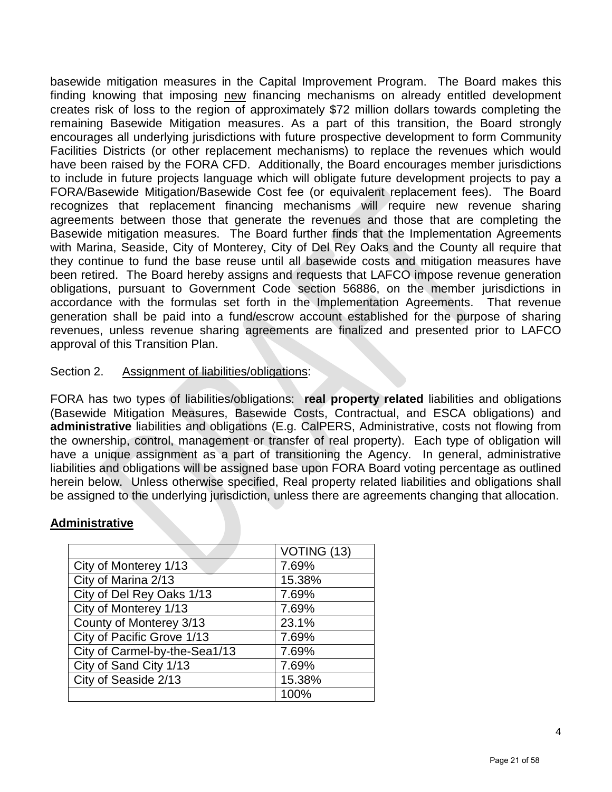basewide mitigation measures in the Capital Improvement Program. The Board makes this finding knowing that imposing new financing mechanisms on already entitled development creates risk of loss to the region of approximately \$72 million dollars towards completing the remaining Basewide Mitigation measures. As a part of this transition, the Board strongly encourages all underlying jurisdictions with future prospective development to form Community Facilities Districts (or other replacement mechanisms) to replace the revenues which would have been raised by the FORA CFD. Additionally, the Board encourages member jurisdictions to include in future projects language which will obligate future development projects to pay a FORA/Basewide Mitigation/Basewide Cost fee (or equivalent replacement fees). The Board recognizes that replacement financing mechanisms will require new revenue sharing agreements between those that generate the revenues and those that are completing the Basewide mitigation measures. The Board further finds that the Implementation Agreements with Marina, Seaside, City of Monterey, City of Del Rey Oaks and the County all require that they continue to fund the base reuse until all basewide costs and mitigation measures have been retired. The Board hereby assigns and requests that LAFCO impose revenue generation obligations, pursuant to Government Code section 56886, on the member jurisdictions in accordance with the formulas set forth in the Implementation Agreements. That revenue generation shall be paid into a fund/escrow account established for the purpose of sharing revenues, unless revenue sharing agreements are finalized and presented prior to LAFCO approval of this Transition Plan.

#### Section 2. Assignment of liabilities/obligations:

FORA has two types of liabilities/obligations: **real property related** liabilities and obligations (Basewide Mitigation Measures, Basewide Costs, Contractual, and ESCA obligations) and **administrative** liabilities and obligations (E.g. CalPERS, Administrative, costs not flowing from the ownership, control, management or transfer of real property). Each type of obligation will have a unique assignment as a part of transitioning the Agency. In general, administrative liabilities and obligations will be assigned base upon FORA Board voting percentage as outlined herein below. Unless otherwise specified, Real property related liabilities and obligations shall be assigned to the underlying jurisdiction, unless there are agreements changing that allocation.

#### **Administrative**

|                               | VOTING (13) |
|-------------------------------|-------------|
| City of Monterey 1/13         | 7.69%       |
| City of Marina 2/13           | 15.38%      |
| City of Del Rey Oaks 1/13     | 7.69%       |
| City of Monterey 1/13         | 7.69%       |
| County of Monterey 3/13       | 23.1%       |
| City of Pacific Grove 1/13    | 7.69%       |
| City of Carmel-by-the-Sea1/13 | 7.69%       |
| City of Sand City 1/13        | 7.69%       |
| City of Seaside 2/13          | 15.38%      |
|                               | 100%        |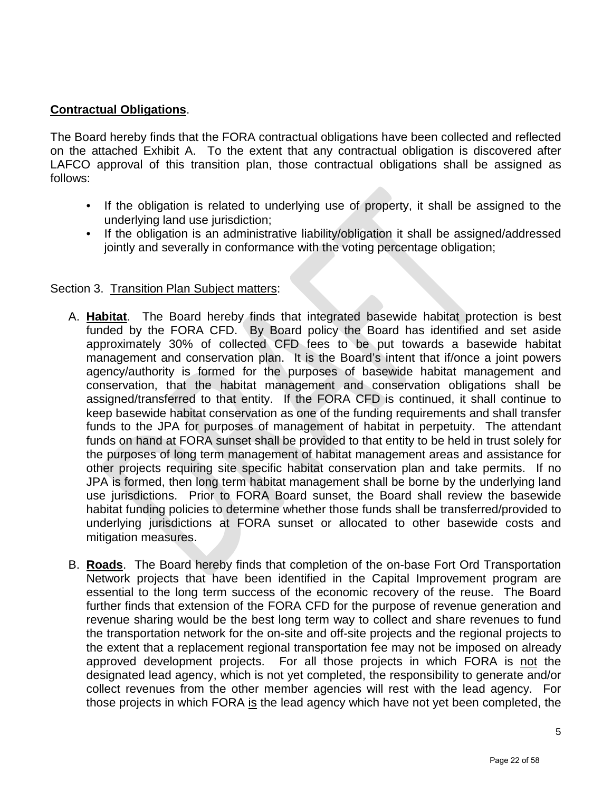# **Contractual Obligations**.

The Board hereby finds that the FORA contractual obligations have been collected and reflected on the attached [Exhibit A.](http://fora.org/Board/2018/Packet/Additional/081018_Item_7f_Transition_Update.pdf) To the extent that any contractual obligation is discovered after LAFCO approval of this transition plan, those contractual obligations shall be assigned as follows:

- If the obligation is related to underlying use of property, it shall be assigned to the underlying land use jurisdiction;
- If the obligation is an administrative liability/obligation it shall be assigned/addressed jointly and severally in conformance with the voting percentage obligation;

#### Section 3. Transition Plan Subject matters:

- A. **Habitat**. The Board hereby finds that integrated basewide habitat protection is best funded by the FORA CFD. By Board policy the Board has identified and set aside approximately 30% of collected CFD fees to be put towards a basewide habitat management and conservation plan. It is the Board's intent that if/once a joint powers agency/authority is formed for the purposes of basewide habitat management and conservation, that the habitat management and conservation obligations shall be assigned/transferred to that entity. If the FORA CFD is continued, it shall continue to keep basewide habitat conservation as one of the funding requirements and shall transfer funds to the JPA for purposes of management of habitat in perpetuity. The attendant funds on hand at FORA sunset shall be provided to that entity to be held in trust solely for the purposes of long term management of habitat management areas and assistance for other projects requiring site specific habitat conservation plan and take permits. If no JPA is formed, then long term habitat management shall be borne by the underlying land use jurisdictions. Prior to FORA Board sunset, the Board shall review the basewide habitat funding policies to determine whether those funds shall be transferred/provided to underlying jurisdictions at FORA sunset or allocated to other basewide costs and mitigation measures.
- B. **Roads**. The Board hereby finds that completion of the on-base Fort Ord Transportation Network projects that have been identified in the Capital Improvement program are essential to the long term success of the economic recovery of the reuse. The Board further finds that extension of the FORA CFD for the purpose of revenue generation and revenue sharing would be the best long term way to collect and share revenues to fund the transportation network for the on-site and off-site projects and the regional projects to the extent that a replacement regional transportation fee may not be imposed on already approved development projects. For all those projects in which FORA is not the designated lead agency, which is not yet completed, the responsibility to generate and/or collect revenues from the other member agencies will rest with the lead agency. For those projects in which FORA is the lead agency which have not yet been completed, the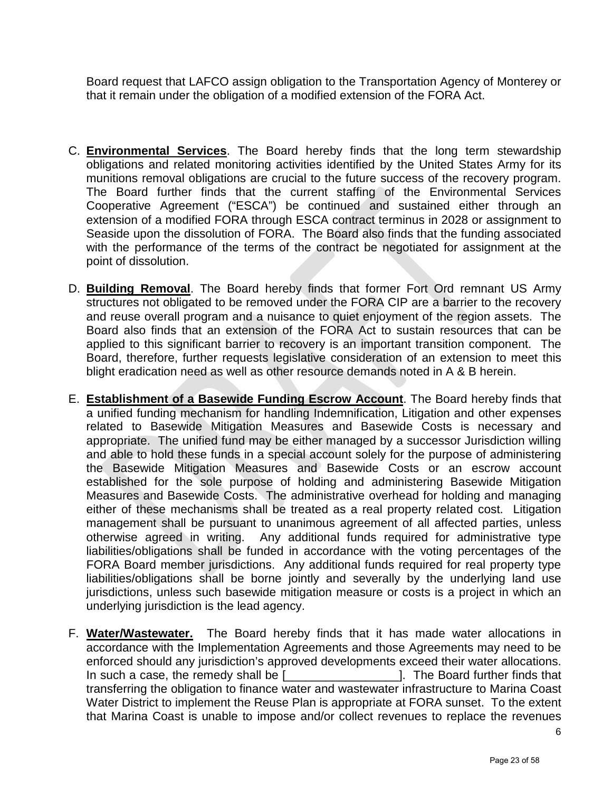Board request that LAFCO assign obligation to the Transportation Agency of Monterey or that it remain under the obligation of a modified extension of the FORA Act.

- C. **Environmental Services**. The Board hereby finds that the long term stewardship obligations and related monitoring activities identified by the United States Army for its munitions removal obligations are crucial to the future success of the recovery program. The Board further finds that the current staffing of the Environmental Services Cooperative Agreement ("ESCA") be continued and sustained either through an extension of a modified FORA through ESCA contract terminus in 2028 or assignment to Seaside upon the dissolution of FORA. The Board also finds that the funding associated with the performance of the terms of the contract be negotiated for assignment at the point of dissolution.
- D. **Building Removal**. The Board hereby finds that former Fort Ord remnant US Army structures not obligated to be removed under the FORA CIP are a barrier to the recovery and reuse overall program and a nuisance to quiet enjoyment of the region assets. The Board also finds that an extension of the FORA Act to sustain resources that can be applied to this significant barrier to recovery is an important transition component. The Board, therefore, further requests legislative consideration of an extension to meet this blight eradication need as well as other resource demands noted in A & B herein.
- E. **Establishment of a Basewide Funding Escrow Account**. The Board hereby finds that a unified funding mechanism for handling Indemnification, Litigation and other expenses related to Basewide Mitigation Measures and Basewide Costs is necessary and appropriate. The unified fund may be either managed by a successor Jurisdiction willing and able to hold these funds in a special account solely for the purpose of administering the Basewide Mitigation Measures and Basewide Costs or an escrow account established for the sole purpose of holding and administering Basewide Mitigation Measures and Basewide Costs. The administrative overhead for holding and managing either of these mechanisms shall be treated as a real property related cost. Litigation management shall be pursuant to unanimous agreement of all affected parties, unless otherwise agreed in writing. Any additional funds required for administrative type liabilities/obligations shall be funded in accordance with the voting percentages of the FORA Board member jurisdictions. Any additional funds required for real property type liabilities/obligations shall be borne jointly and severally by the underlying land use jurisdictions, unless such basewide mitigation measure or costs is a project in which an underlying jurisdiction is the lead agency.
- F. **Water/Wastewater.** The Board hereby finds that it has made water allocations in accordance with the Implementation Agreements and those Agreements may need to be enforced should any jurisdiction's approved developments exceed their water allocations. In such a case, the remedy shall be [\_\_\_\_\_\_\_\_\_\_\_\_\_\_\_\_\_]. The Board further finds that transferring the obligation to finance water and wastewater infrastructure to Marina Coast Water District to implement the Reuse Plan is appropriate at FORA sunset. To the extent that Marina Coast is unable to impose and/or collect revenues to replace the revenues

6